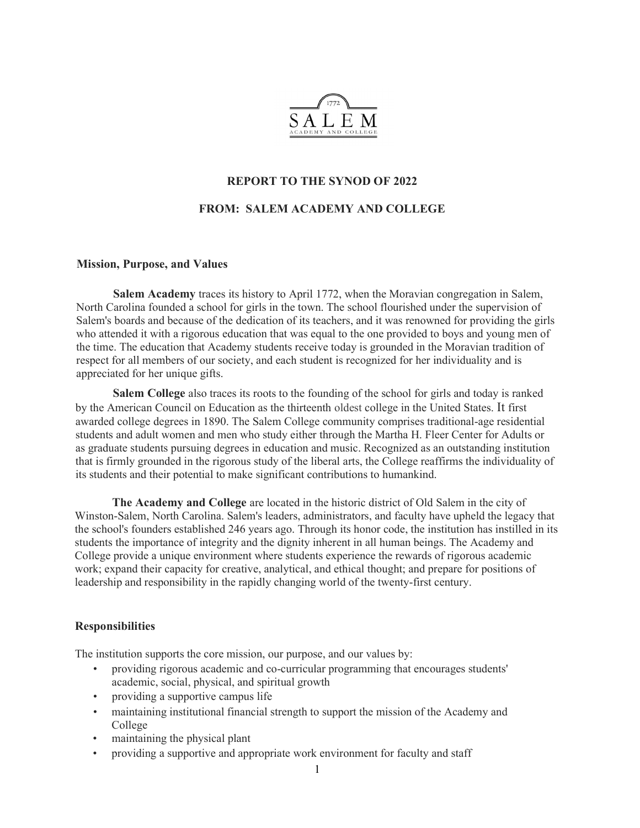

#### REPORT TO THE SYNOD OF 2022

#### FROM: SALEM ACADEMY AND COLLEGE

#### Mission, Purpose, and Values

Salem Academy traces its history to April 1772, when the Moravian congregation in Salem, North Carolina founded a school for girls in the town. The school flourished under the supervision of Salem's boards and because of the dedication of its teachers, and it was renowned for providing the girls who attended it with a rigorous education that was equal to the one provided to boys and young men of the time. The education that Academy students receive today is grounded in the Moravian tradition of respect for all members of our society, and each student is recognized for her individuality and is appreciated for her unique gifts.

Salem College also traces its roots to the founding of the school for girls and today is ranked by the American Council on Education as the thirteenth oldest college in the United States. It first awarded college degrees in 1890. The Salem College community comprises traditional-age residential students and adult women and men who study either through the Martha H. Fleer Center for Adults or as graduate students pursuing degrees in education and music. Recognized as an outstanding institution that is firmly grounded in the rigorous study of the liberal arts, the College reaffirms the individuality of its students and their potential to make significant contributions to humankind.

The Academy and College are located in the historic district of Old Salem in the city of Winston-Salem, North Carolina. Salem's leaders, administrators, and faculty have upheld the legacy that the school's founders established 246 years ago. Through its honor code, the institution has instilled in its students the importance of integrity and the dignity inherent in all human beings. The Academy and College provide a unique environment where students experience the rewards of rigorous academic work; expand their capacity for creative, analytical, and ethical thought; and prepare for positions of leadership and responsibility in the rapidly changing world of the twenty-first century.

#### **Responsibilities**

The institution supports the core mission, our purpose, and our values by:

- providing rigorous academic and co-curricular programming that encourages students' academic, social, physical, and spiritual growth
- providing a supportive campus life
- maintaining institutional financial strength to support the mission of the Academy and College
- maintaining the physical plant
- providing a supportive and appropriate work environment for faculty and staff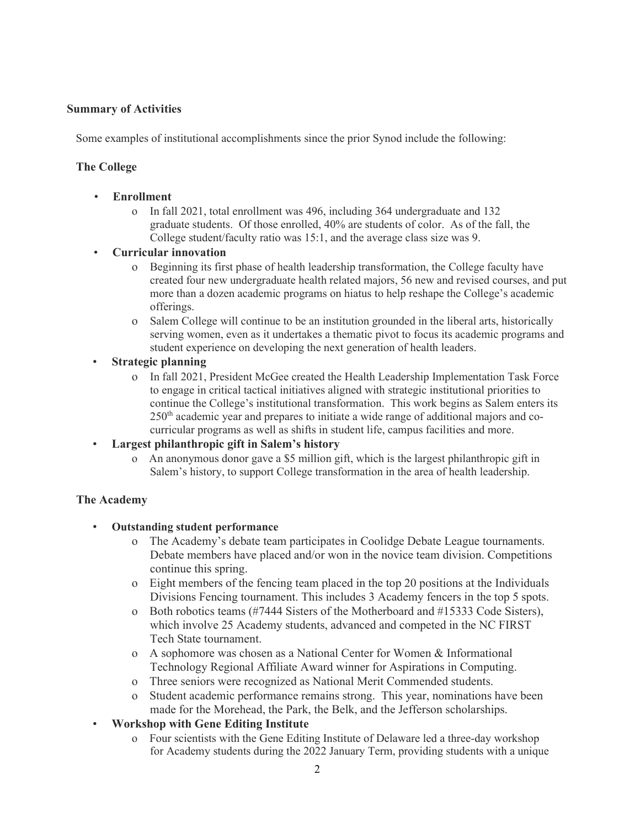## Summary of Activities

Some examples of institutional accomplishments since the prior Synod include the following:

# The College

- **Enrollment** 
	- o In fall 2021, total enrollment was 496, including 364 undergraduate and 132 graduate students. Of those enrolled, 40% are students of color. As of the fall, the College student/faculty ratio was 15:1, and the average class size was 9.
- Curricular innovation
	- o Beginning its first phase of health leadership transformation, the College faculty have created four new undergraduate health related majors, 56 new and revised courses, and put more than a dozen academic programs on hiatus to help reshape the College's academic offerings.
	- o Salem College will continue to be an institution grounded in the liberal arts, historically serving women, even as it undertakes a thematic pivot to focus its academic programs and student experience on developing the next generation of health leaders.
- Strategic planning
	- o In fall 2021, President McGee created the Health Leadership Implementation Task Force to engage in critical tactical initiatives aligned with strategic institutional priorities to continue the College's institutional transformation. This work begins as Salem enters its 250<sup>th</sup> academic year and prepares to initiate a wide range of additional majors and cocurricular programs as well as shifts in student life, campus facilities and more.
- Largest philanthropic gift in Salem's history
	- o An anonymous donor gave a \$5 million gift, which is the largest philanthropic gift in Salem's history, to support College transformation in the area of health leadership.

#### The Academy

- Outstanding student performance
	- o The Academy's debate team participates in Coolidge Debate League tournaments. Debate members have placed and/or won in the novice team division. Competitions continue this spring.
	- o Eight members of the fencing team placed in the top 20 positions at the Individuals Divisions Fencing tournament. This includes 3 Academy fencers in the top 5 spots.
	- o Both robotics teams (#7444 Sisters of the Motherboard and #15333 Code Sisters), which involve 25 Academy students, advanced and competed in the NC FIRST Tech State tournament.
	- o A sophomore was chosen as a National Center for Women & Informational Technology Regional Affiliate Award winner for Aspirations in Computing.
	- o Three seniors were recognized as National Merit Commended students.
	- o Student academic performance remains strong. This year, nominations have been made for the Morehead, the Park, the Belk, and the Jefferson scholarships.
- Workshop with Gene Editing Institute
	- o Four scientists with the Gene Editing Institute of Delaware led a three-day workshop for Academy students during the 2022 January Term, providing students with a unique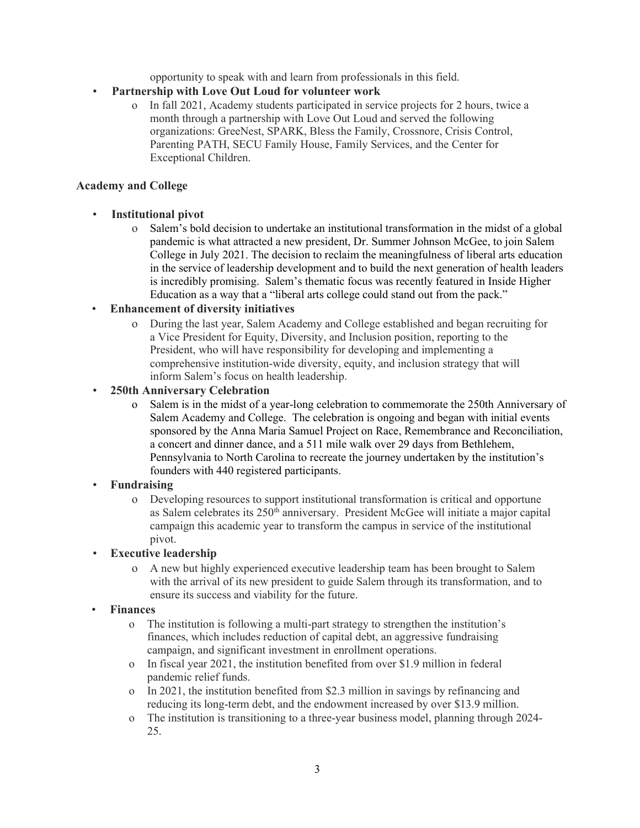opportunity to speak with and learn from professionals in this field.

- Partnership with Love Out Loud for volunteer work
	- o In fall 2021, Academy students participated in service projects for 2 hours, twice a month through a partnership with Love Out Loud and served the following organizations: GreeNest, SPARK, Bless the Family, Crossnore, Crisis Control, Parenting PATH, SECU Family House, Family Services, and the Center for Exceptional Children.

## Academy and College

# • Institutional pivot

o Salem's bold decision to undertake an institutional transformation in the midst of a global pandemic is what attracted a new president, Dr. Summer Johnson McGee, to join Salem College in July 2021. The decision to reclaim the meaningfulness of liberal arts education in the service of leadership development and to build the next generation of health leaders is incredibly promising. Salem's thematic focus was recently featured in Inside Higher Education as a way that a "liberal arts college could stand out from the pack."

### • Enhancement of diversity initiatives

o During the last year, Salem Academy and College established and began recruiting for a Vice President for Equity, Diversity, and Inclusion position, reporting to the President, who will have responsibility for developing and implementing a comprehensive institution-wide diversity, equity, and inclusion strategy that will inform Salem's focus on health leadership.

### • 250th Anniversary Celebration

o Salem is in the midst of a year-long celebration to commemorate the 250th Anniversary of Salem Academy and College. The celebration is ongoing and began with initial events sponsored by the Anna Maria Samuel Project on Race, Remembrance and Reconciliation, a concert and dinner dance, and a 511 mile walk over 29 days from Bethlehem, Pennsylvania to North Carolina to recreate the journey undertaken by the institution's founders with 440 registered participants.

# **Fundraising**

o Developing resources to support institutional transformation is critical and opportune as Salem celebrates its  $250<sup>th</sup>$  anniversary. President McGee will initiate a major capital campaign this academic year to transform the campus in service of the institutional pivot.

# **Executive leadership**

o A new but highly experienced executive leadership team has been brought to Salem with the arrival of its new president to guide Salem through its transformation, and to ensure its success and viability for the future.

# • Finances

- o The institution is following a multi-part strategy to strengthen the institution's finances, which includes reduction of capital debt, an aggressive fundraising campaign, and significant investment in enrollment operations.
- o In fiscal year 2021, the institution benefited from over \$1.9 million in federal pandemic relief funds.
- o In 2021, the institution benefited from \$2.3 million in savings by refinancing and reducing its long-term debt, and the endowment increased by over \$13.9 million.
- o The institution is transitioning to a three-year business model, planning through 2024- 25.